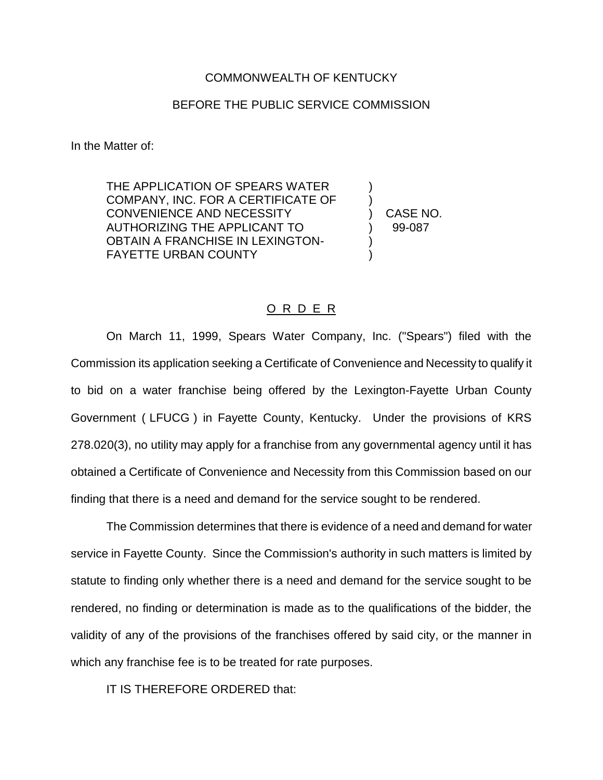## COMMONWEALTH OF KENTUCKY

## BEFORE THE PUBLIC SERVICE COMMISSION

In the Matter of:

THE APPLICATION OF SPEARS WATER COMPANY, INC. FOR A CERTIFICATE OF ) CONVENIENCE AND NECESSITY ) CASE NO. AUTHORIZING THE APPLICANT TO  $99-087$ OBTAIN A FRANCHISE IN LEXINGTON-**FAYETTE URBAN COUNTY** 

## O R D E R

On March 11, 1999, Spears Water Company, Inc. ("Spears") filed with the Commission its application seeking a Certificate of Convenience and Necessity to qualify it to bid on a water franchise being offered by the Lexington-Fayette Urban County Government ( LFUCG ) in Fayette County, Kentucky. Under the provisions of KRS 278.020(3), no utility may apply for a franchise from any governmental agency until it has obtained a Certificate of Convenience and Necessity from this Commission based on our finding that there is a need and demand for the service sought to be rendered.

The Commission determines that there is evidence of a need and demand for water service in Fayette County. Since the Commission's authority in such matters is limited by statute to finding only whether there is a need and demand for the service sought to be rendered, no finding or determination is made as to the qualifications of the bidder, the validity of any of the provisions of the franchises offered by said city, or the manner in which any franchise fee is to be treated for rate purposes.

IT IS THEREFORE ORDERED that: